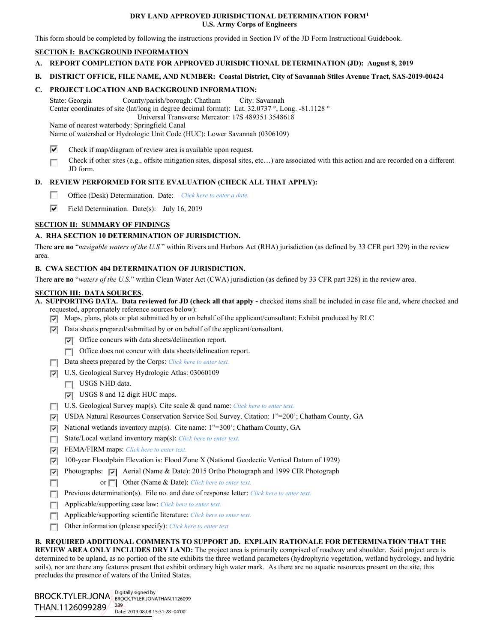### **DRY LAND APPROVED JURISDICTIONAL DETERMINATION FORM[1](#page-0-0) U.S. Army Corps of Engineers**

This form should be completed by following the instructions provided in Section IV of the JD Form Instructional Guidebook.

## **SECTION I: BACKGROUND INFORMATION**

- **A. REPORT COMPLETION DATE FOR APPROVED JURISDICTIONAL DETERMINATION (JD): August 8, 2019**
- **B. DISTRICT OFFICE, FILE NAME, AND NUMBER: Coastal District, City of Savannah Stiles Avenue Tract, SAS-2019-00424**

## **C. PROJECT LOCATION AND BACKGROUND INFORMATION:**

State: Georgia County/parish/borough: Chatham City: Savannah Center coordinates of site (lat/long in degree decimal format): Lat. 32.0737 °, Long. -81.1128 ° Universal Transverse Mercator: 17S 489351 3548618

Name of nearest waterbody: Springfield Canal

Name of watershed or Hydrologic Unit Code (HUC): Lower Savannah (0306109)

- ⊽ Check if map/diagram of review area is available upon request.
- Check if other sites (e.g., offsite mitigation sites, disposal sites, etc…) are associated with this action and are recorded on a different Е JD form.

# **D. REVIEW PERFORMED FOR SITE EVALUATION (CHECK ALL THAT APPLY):**

- $\sim$ Office (Desk) Determination. Date: *Click here to enter a date.*
- ⊽ Field Determination. Date(s): July 16, 2019

# **SECTION II: SUMMARY OF FINDINGS**

# **A. RHA SECTION 10 DETERMINATION OF JURISDICTION.**

There **are no** "*navigable waters of the U.S.*" within Rivers and Harbors Act (RHA) jurisdiction (as defined by 33 CFR part 329) in the review area.

## **B. CWA SECTION 404 DETERMINATION OF JURISDICTION.**

There **are no** "*waters of the U.S.*" within Clean Water Act (CWA) jurisdiction (as defined by 33 CFR part 328) in the review area.

### **SECTION III: DATA SOURCES.**

**A. SUPPORTING DATA. Data reviewed for JD (check all that apply -** checked items shall be included in case file and, where checked and requested, appropriately reference sources below):

- Maps, plans, plots or plat submitted by or on behalf of the applicant/consultant: Exhibit produced by RLC
- $\nabla$  Data sheets prepared/submitted by or on behalf of the applicant/consultant.
	- $\nabla$  Office concurs with data sheets/delineation report.
	- Office does not concur with data sheets/delineation report.
- Data sheets prepared by the Corps: *Click here to enter text.*
- U.S. Geological Survey Hydrologic Atlas: 03060109
	- USGS NHD data.
	- USGS 8 and 12 digit HUC maps.
- U.S. Geological Survey map(s). Cite scale & quad name: *Click here to enter text.*
- USDA Natural Resources Conservation Service Soil Survey. Citation: 1"=200'; Chatham County, GA
- $\nabla$  National wetlands inventory map(s). Cite name: 1"=300"; Chatham County, GA
- State/Local wetland inventory map(s): *Click here to enter text.*
- FEMA/FIRM maps: *Click here to enter text.*
- 100-year Floodplain Elevation is: Flood Zone X (National Geodectic Vertical Datum of 1929)
- Photographs: Aerial (Name & Date): 2015 Ortho Photograph and 1999 CIR Photograph
- or **Other (Name & Date):** *Click here to enter text.* **T**
- **Previous determination(s).** File no. and date of response letter: *Click here to enter text.*
- Applicable/supporting case law: *Click here to enter text.*
- Applicable/supporting scientific literature: *Click here to enter text.*
- Other information (please specify): *Click here to enter text.*  $\overline{a}$

### **B. REQUIRED ADDITIONAL COMMENTS TO SUPPORT JD. EXPLAIN RATIONALE FOR DETERMINATION THAT THE**

**REVIEW AREA ONLY INCLUDES DRY LAND:** The project area is primarily comprised of roadway and shoulder. Said project area is determined to be upland, as no portion of the site exhibits the three wetland parameters (hydrophyric vegetation, wetland hydrology, and hydric soils), nor are there any features present that exhibit ordinary high water mark. As there are no aquatic resources present on the site, this precludes the presence of waters of the United States.

<span id="page-0-0"></span> $\overline{a}$ BROCK.TYLER.JONA BROCK.TYLER.JONATHAN.1126099 THAN.1126099289 Digitally signed by 289 Date: 2019.08.08 15:31:28 -04'00'